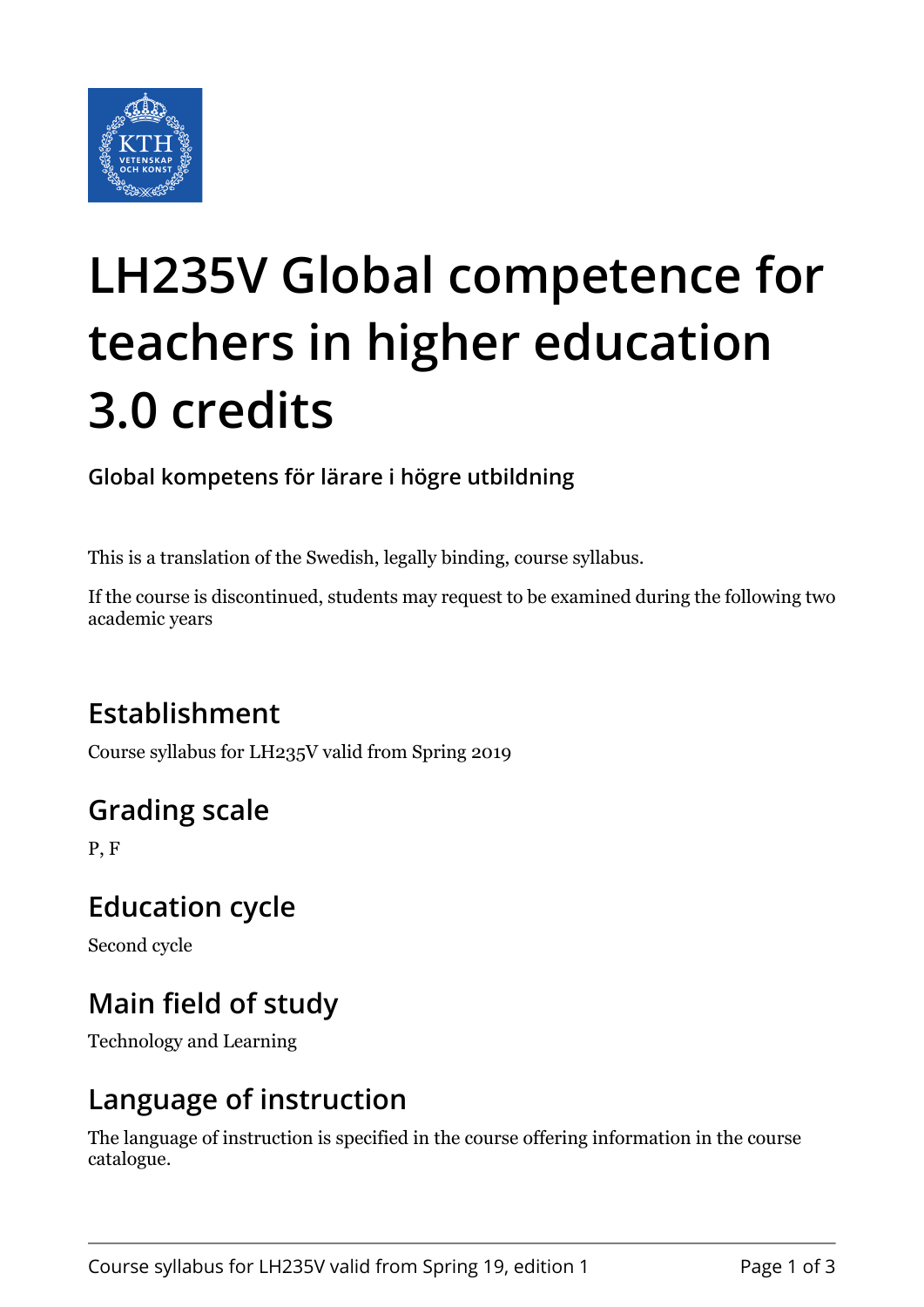

# **LH235V Global competence for teachers in higher education 3.0 credits**

**Global kompetens för lärare i högre utbildning**

This is a translation of the Swedish, legally binding, course syllabus.

If the course is discontinued, students may request to be examined during the following two academic years

# **Establishment**

Course syllabus for LH235V valid from Spring 2019

# **Grading scale**

P, F

## **Education cycle**

Second cycle

# **Main field of study**

Technology and Learning

## **Language of instruction**

The language of instruction is specified in the course offering information in the course catalogue.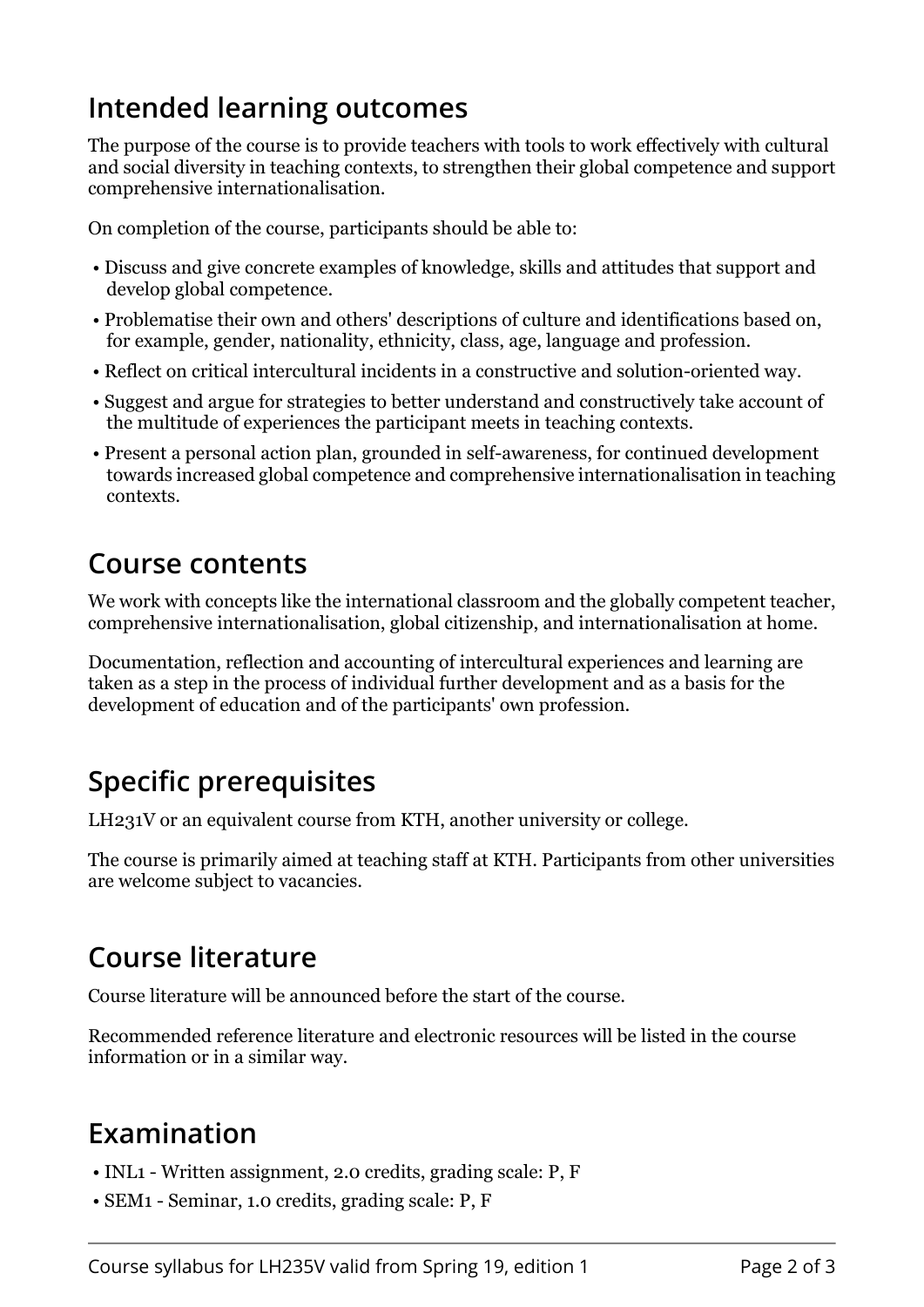## **Intended learning outcomes**

The purpose of the course is to provide teachers with tools to work effectively with cultural and social diversity in teaching contexts, to strengthen their global competence and support comprehensive internationalisation.

On completion of the course, participants should be able to:

- Discuss and give concrete examples of knowledge, skills and attitudes that support and develop global competence.
- Problematise their own and others' descriptions of culture and identifications based on, for example, gender, nationality, ethnicity, class, age, language and profession.
- Reflect on critical intercultural incidents in a constructive and solution-oriented way.
- Suggest and argue for strategies to better understand and constructively take account of the multitude of experiences the participant meets in teaching contexts.
- Present a personal action plan, grounded in self-awareness, for continued development towards increased global competence and comprehensive internationalisation in teaching contexts.

#### **Course contents**

We work with concepts like the international classroom and the globally competent teacher, comprehensive internationalisation, global citizenship, and internationalisation at home.

Documentation, reflection and accounting of intercultural experiences and learning are taken as a step in the process of individual further development and as a basis for the development of education and of the participants' own profession.

## **Specific prerequisites**

LH231V or an equivalent course from KTH, another university or college.

The course is primarily aimed at teaching staff at KTH. Participants from other universities are welcome subject to vacancies.

## **Course literature**

Course literature will be announced before the start of the course.

Recommended reference literature and electronic resources will be listed in the course information or in a similar way.

## **Examination**

- INL1 Written assignment, 2.0 credits, grading scale: P, F
- SEM1 Seminar, 1.0 credits, grading scale: P, F